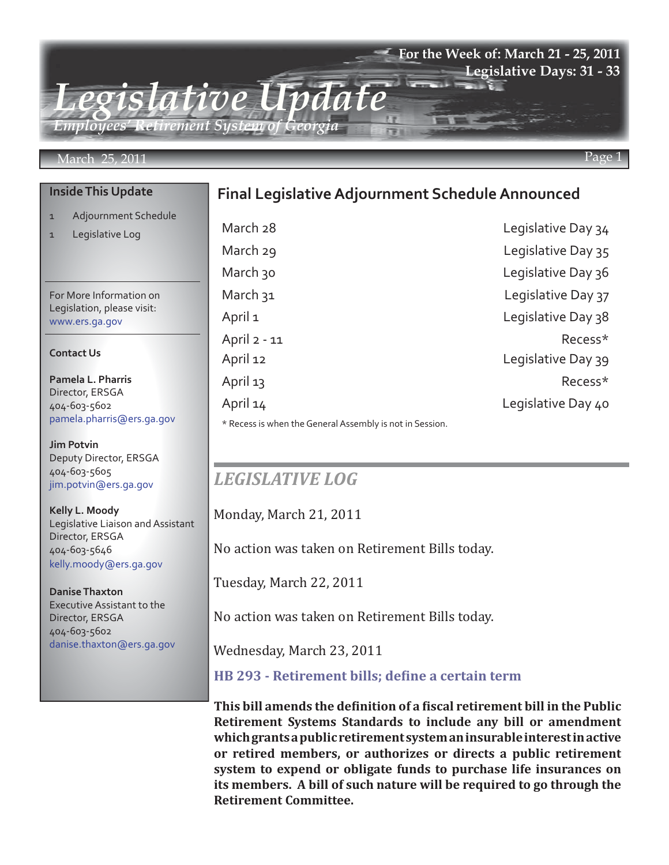### **For the Week of: March 21 - 25, 2011 Legislative Days: 31 - 33**

*Legislative Update Employees' Retirement System of Georgia*

#### March 25, 2011 Page 1

#### **Inside This Update**

- 1 Adjournment Schedule
- 1 Legislative Log

For More Information on Legislation, please visit: www.ers.ga.gov

#### **Contact Us**

**Pamela L. Pharris** Director, ERSGA 404-603-5602 pamela.pharris@ers.ga.gov

**Jim Potvin** Deputy Director, ERSGA 404-603-5605 jim.potvin@ers.ga.gov

**Kelly L. Moody** Legislative Liaison and Assistant Director, ERSGA 404-603-5646 kelly.moody@ers.ga.gov

**Danise Thaxton** Executive Assistant to the Director, ERSGA 404-603-5602 danise.thaxton@ers.ga.gov

## **Final Legislative Adjournment Schedule Announced**

March 28 **Legislative Day 34** March 29 **Legislative Day 35** March 30 **March 30** Legislative Day 36 March 31 March 31 April 1 Legislative Day 38 April 2 - 11 Recess\* April 12 **Legislative Day 39** April 13 Recess\* April 14 Legislative Day 40

\* Recess is when the General Assembly is not in Session.

# *LEGISLATIVE LOG*

Monday, March 21, 2011

No action was taken on Retirement Bills today.

Tuesday, March 22, 2011

No action was taken on Retirement Bills today.

Wednesday, March 23, 2011

### **[HB 293 - Retirement bills; define a certain term](http://www.legis.ga.gov/Legislation/20112012/110554.pdf)**

**This bill amends the definition of a fiscal retirement bill in the Public Retirement Systems Standards to include any bill or amendment which grants a public retirement system an insurable interest in active or retired members, or authorizes or directs a public retirement system to expend or obligate funds to purchase life insurances on its members. A bill of such nature will be required to go through the Retirement Committee.**